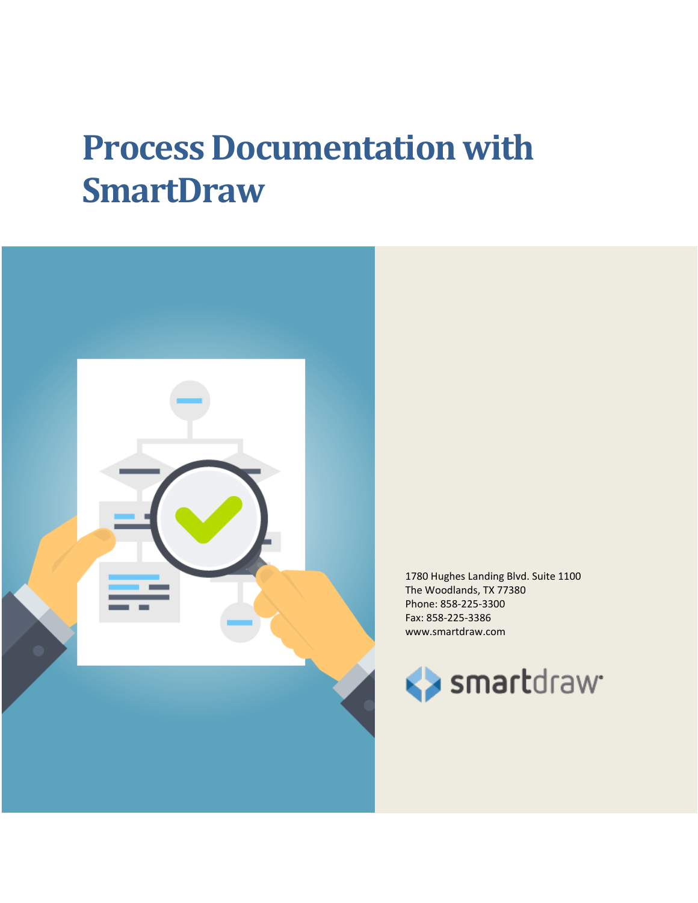# **Process Documentation with SmartDraw**



1780 Hughes Landing Blvd. Suite 1100 The Woodlands, TX 77380 Phone: 858-225-3300 Fax: 858-225-3386 www.smartdraw.com

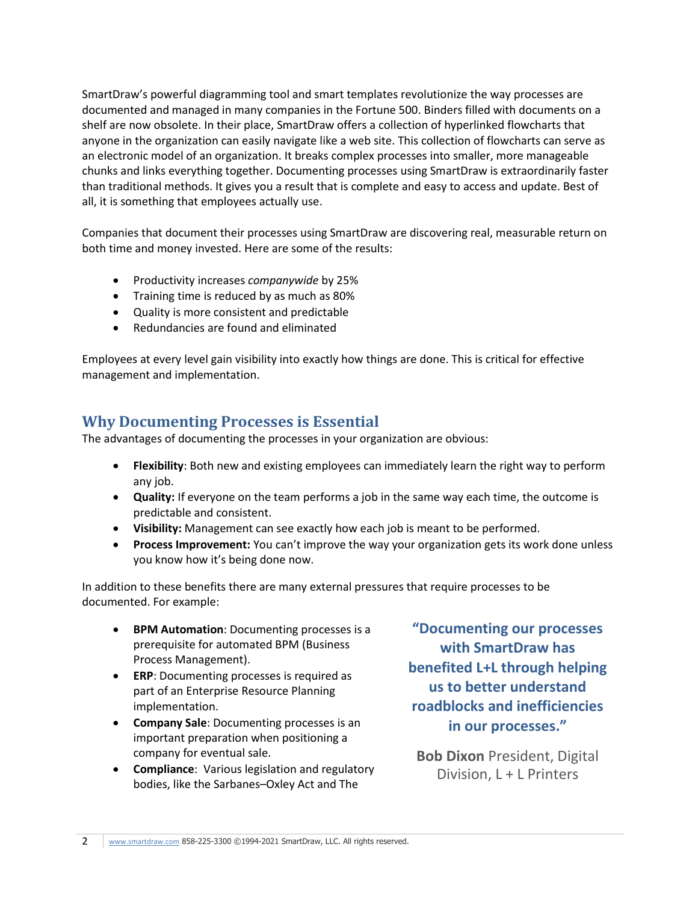SmartDraw's powerful diagramming tool and smart templates revolutionize the way processes are documented and managed in many companies in the Fortune 500. Binders filled with documents on a shelf are now obsolete. In their place, SmartDraw offers a collection of hyperlinked flowcharts that anyone in the organization can easily navigate like a web site. This collection of flowcharts can serve as an electronic model of an organization. It breaks complex processes into smaller, more manageable chunks and links everything together. Documenting processes using SmartDraw is extraordinarily faster than traditional methods. It gives you a result that is complete and easy to access and update. Best of all, it is something that employees actually use.

Companies that document their processes using SmartDraw are discovering real, measurable return on both time and money invested. Here are some of the results:

- Productivity increases *companywide* by 25%
- Training time is reduced by as much as 80%
- Quality is more consistent and predictable
- Redundancies are found and eliminated

Employees at every level gain visibility into exactly how things are done. This is critical for effective management and implementation.

## **Why Documenting Processes is Essential**

The advantages of documenting the processes in your organization are obvious:

- **Flexibility**: Both new and existing employees can immediately learn the right way to perform any job.
- **Quality:** If everyone on the team performs a job in the same way each time, the outcome is predictable and consistent.
- **Visibility:** Management can see exactly how each job is meant to be performed.
- **Process Improvement:** You can't improve the way your organization gets its work done unless you know how it's being done now.

In addition to these benefits there are many external pressures that require processes to be documented. For example:

- **BPM Automation**: Documenting processes is a prerequisite for automated BPM (Business Process Management).
- **ERP**: Documenting processes is required as part of an Enterprise Resource Planning implementation.
- **Company Sale**: Documenting processes is an important preparation when positioning a company for eventual sale.
- **Compliance**: Various legislation and regulatory bodies, like the Sarbanes–Oxley Act and The

**"Documenting our processes with SmartDraw has benefited L+L through helping us to better understand roadblocks and inefficiencies in our processes."**

**Bob Dixon** President, Digital Division, L + L Printers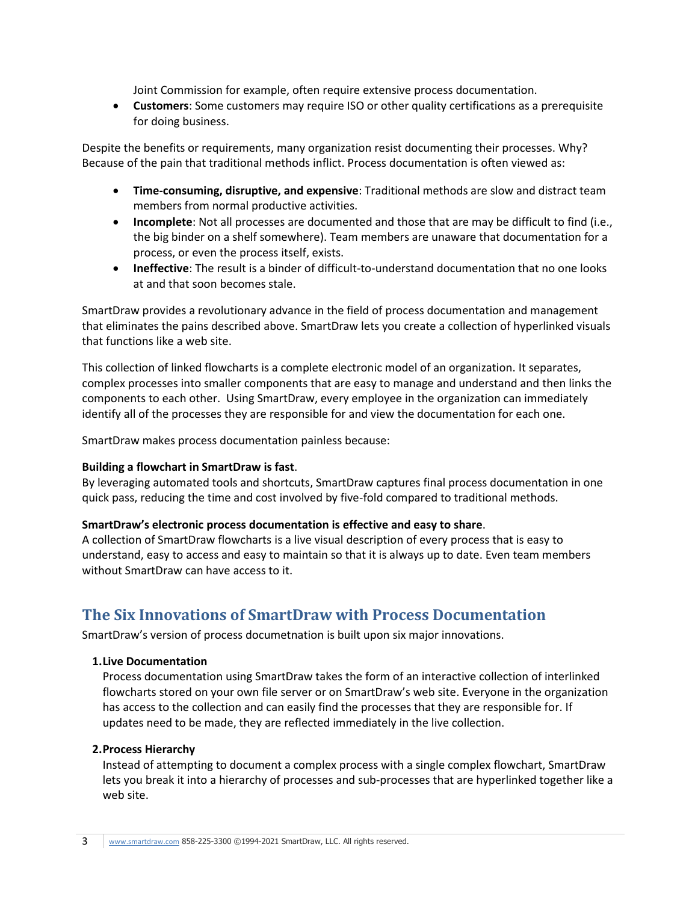Joint Commission for example, often require extensive process documentation.

• **Customers**: Some customers may require ISO or other quality certifications as a prerequisite for doing business.

Despite the benefits or requirements, many organization resist documenting their processes. Why? Because of the pain that traditional methods inflict. Process documentation is often viewed as:

- **Time-consuming, disruptive, and expensive**: Traditional methods are slow and distract team members from normal productive activities.
- **Incomplete**: Not all processes are documented and those that are may be difficult to find (i.e., the big binder on a shelf somewhere). Team members are unaware that documentation for a process, or even the process itself, exists.
- **Ineffective**: The result is a binder of difficult-to-understand documentation that no one looks at and that soon becomes stale.

SmartDraw provides a revolutionary advance in the field of process documentation and management that eliminates the pains described above. SmartDraw lets you create a collection of hyperlinked visuals that functions like a web site.

This collection of linked flowcharts is a complete electronic model of an organization. It separates, complex processes into smaller components that are easy to manage and understand and then links the components to each other. Using SmartDraw, every employee in the organization can immediately identify all of the processes they are responsible for and view the documentation for each one.

SmartDraw makes process documentation painless because:

## **Building a flowchart in SmartDraw is fast**.

By leveraging automated tools and shortcuts, SmartDraw captures final process documentation in one quick pass, reducing the time and cost involved by five-fold compared to traditional methods.

#### **SmartDraw's electronic process documentation is effective and easy to share**.

A collection of SmartDraw flowcharts is a live visual description of every process that is easy to understand, easy to access and easy to maintain so that it is always up to date. Even team members without SmartDraw can have access to it.

## **The Six Innovations of SmartDraw with Process Documentation**

SmartDraw's version of process documetnation is built upon six major innovations.

## **1.Live Documentation**

Process documentation using SmartDraw takes the form of an interactive collection of interlinked flowcharts stored on your own file server or on SmartDraw's web site. Everyone in the organization has access to the collection and can easily find the processes that they are responsible for. If updates need to be made, they are reflected immediately in the live collection.

## **2.Process Hierarchy**

Instead of attempting to document a complex process with a single complex flowchart, SmartDraw lets you break it into a hierarchy of processes and sub-processes that are hyperlinked together like a web site.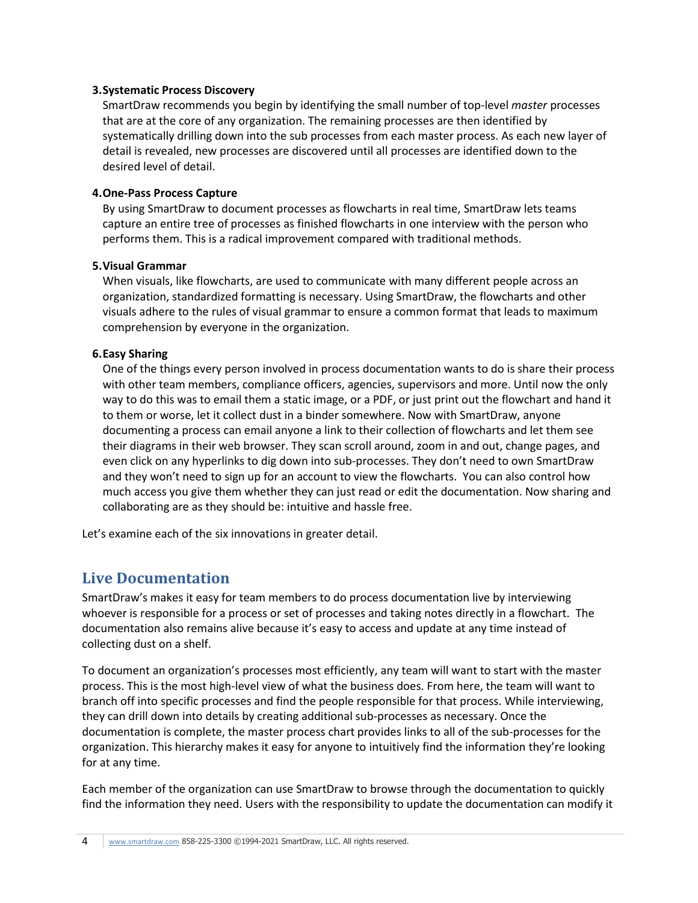## **3.Systematic Process Discovery**

SmartDraw recommends you begin by identifying the small number of top-level *master* processes that are at the core of any organization. The remaining processes are then identified by systematically drilling down into the sub processes from each master process. As each new layer of detail is revealed, new processes are discovered until all processes are identified down to the desired level of detail.

#### **4.One-Pass Process Capture**

By using SmartDraw to document processes as flowcharts in real time, SmartDraw lets teams capture an entire tree of processes as finished flowcharts in one interview with the person who performs them. This is a radical improvement compared with traditional methods.

#### **5.Visual Grammar**

When visuals, like flowcharts, are used to communicate with many different people across an organization, standardized formatting is necessary. Using SmartDraw, the flowcharts and other visuals adhere to the rules of visual grammar to ensure a common format that leads to maximum comprehension by everyone in the organization.

#### **6.Easy Sharing**

One of the things every person involved in process documentation wants to do is share their process with other team members, compliance officers, agencies, supervisors and more. Until now the only way to do this was to email them a static image, or a PDF, or just print out the flowchart and hand it to them or worse, let it collect dust in a binder somewhere. Now with SmartDraw, anyone documenting a process can email anyone a link to their collection of flowcharts and let them see their diagrams in their web browser. They scan scroll around, zoom in and out, change pages, and even click on any hyperlinks to dig down into sub-processes. They don't need to own SmartDraw and they won't need to sign up for an account to view the flowcharts. You can also control how much access you give them whether they can just read or edit the documentation. Now sharing and collaborating are as they should be: intuitive and hassle free.

Let's examine each of the six innovations in greater detail.

## **Live Documentation**

SmartDraw's makes it easy for team members to do process documentation live by interviewing whoever is responsible for a process or set of processes and taking notes directly in a flowchart. The documentation also remains alive because it's easy to access and update at any time instead of collecting dust on a shelf.

To document an organization's processes most efficiently, any team will want to start with the master process. This is the most high-level view of what the business does. From here, the team will want to branch off into specific processes and find the people responsible for that process. While interviewing, they can drill down into details by creating additional sub-processes as necessary. Once the documentation is complete, the master process chart provides links to all of the sub-processes for the organization. This hierarchy makes it easy for anyone to intuitively find the information they're looking for at any time.

Each member of the organization can use SmartDraw to browse through the documentation to quickly find the information they need. Users with the responsibility to update the documentation can modify it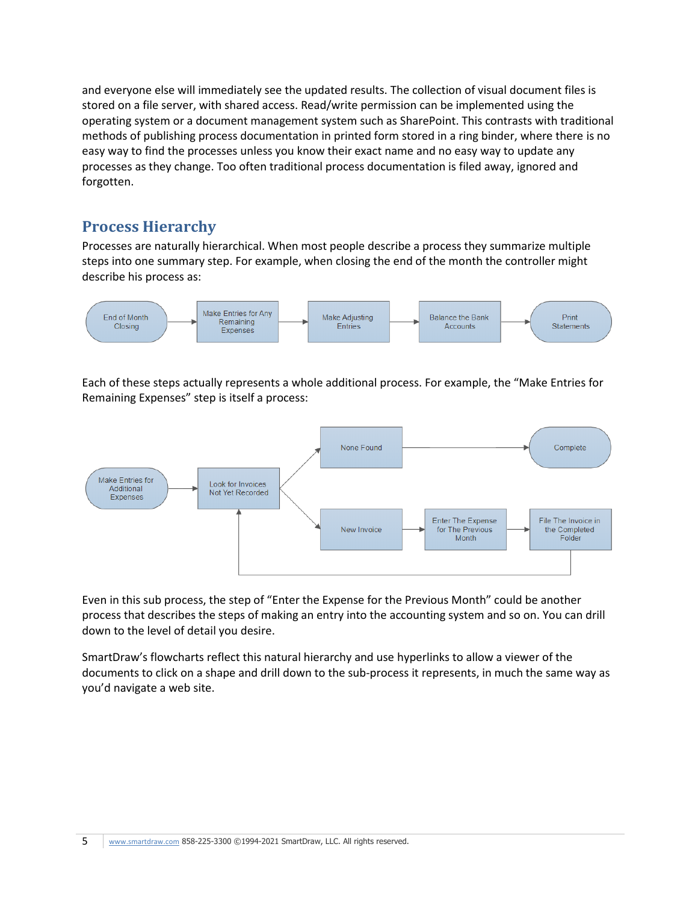and everyone else will immediately see the updated results. The collection of visual document files is stored on a file server, with shared access. Read/write permission can be implemented using the operating system or a document management system such as SharePoint. This contrasts with traditional methods of publishing process documentation in printed form stored in a ring binder, where there is no easy way to find the processes unless you know their exact name and no easy way to update any processes as they change. Too often traditional process documentation is filed away, ignored and forgotten.

## **Process Hierarchy**

Processes are naturally hierarchical. When most people describe a process they summarize multiple steps into one summary step. For example, when closing the end of the month the controller might describe his process as:



Each of these steps actually represents a whole additional process. For example, the "Make Entries for Remaining Expenses" step is itself a process:



Even in this sub process, the step of "Enter the Expense for the Previous Month" could be another process that describes the steps of making an entry into the accounting system and so on. You can drill down to the level of detail you desire.

SmartDraw's flowcharts reflect this natural hierarchy and use hyperlinks to allow a viewer of the documents to click on a shape and drill down to the sub-process it represents, in much the same way as you'd navigate a web site.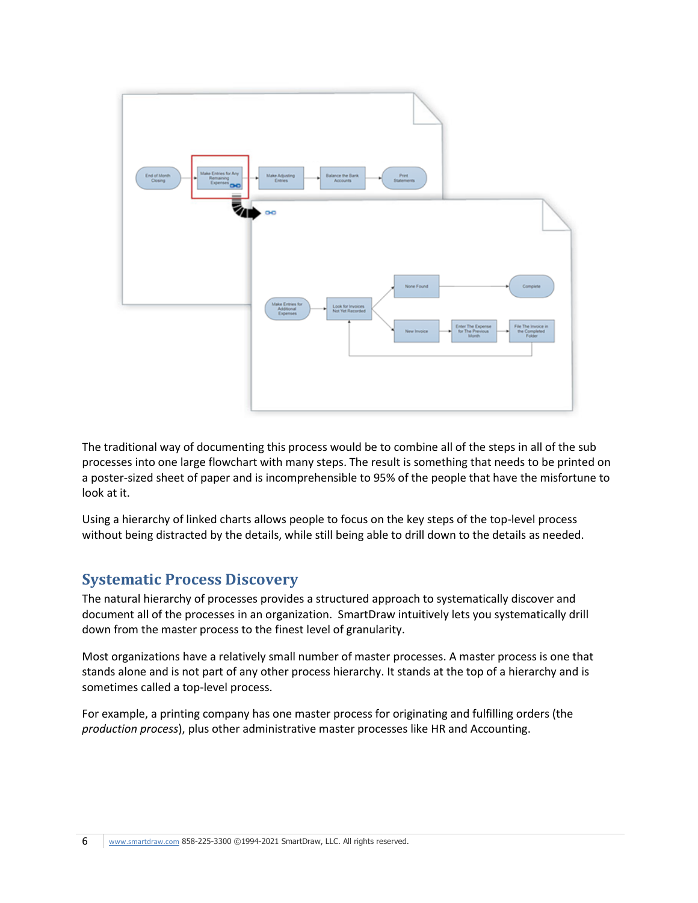

The traditional way of documenting this process would be to combine all of the steps in all of the sub processes into one large flowchart with many steps. The result is something that needs to be printed on a poster-sized sheet of paper and is incomprehensible to 95% of the people that have the misfortune to look at it.

Using a hierarchy of linked charts allows people to focus on the key steps of the top-level process without being distracted by the details, while still being able to drill down to the details as needed.

## **Systematic Process Discovery**

The natural hierarchy of processes provides a structured approach to systematically discover and document all of the processes in an organization. SmartDraw intuitively lets you systematically drill down from the master process to the finest level of granularity.

Most organizations have a relatively small number of master processes. A master process is one that stands alone and is not part of any other process hierarchy. It stands at the top of a hierarchy and is sometimes called a top-level process.

For example, a printing company has one master process for originating and fulfilling orders (the *production process*), plus other administrative master processes like HR and Accounting.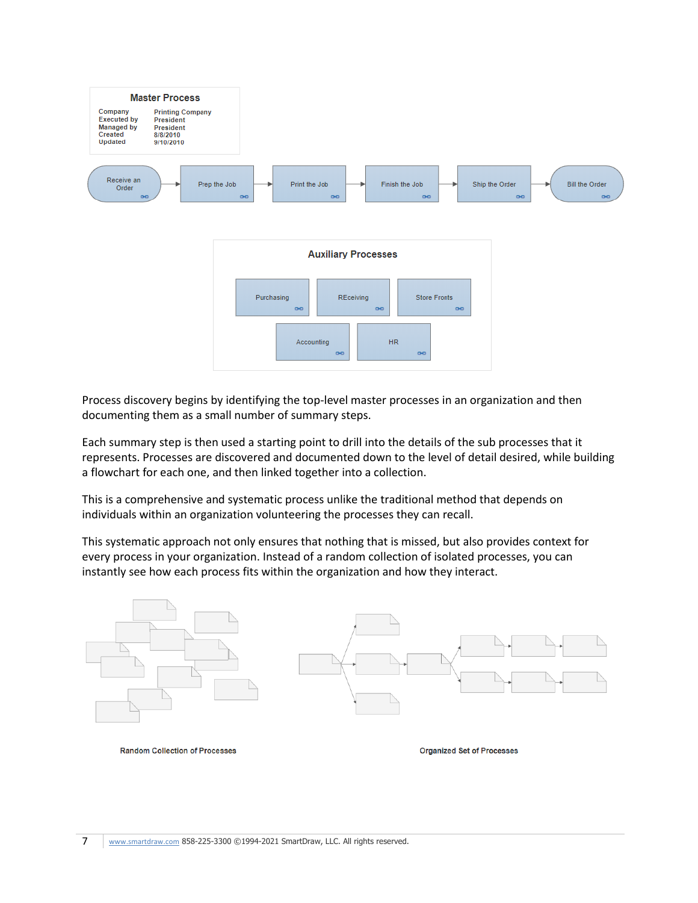

Process discovery begins by identifying the top-level master processes in an organization and then documenting them as a small number of summary steps.

Each summary step is then used a starting point to drill into the details of the sub processes that it represents. Processes are discovered and documented down to the level of detail desired, while building a flowchart for each one, and then linked together into a collection.

This is a comprehensive and systematic process unlike the traditional method that depends on individuals within an organization volunteering the processes they can recall.

This systematic approach not only ensures that nothing that is missed, but also provides context for every process in your organization. Instead of a random collection of isolated processes, you can instantly see how each process fits within the organization and how they interact.



**Random Collection of Processes** 

**Organized Set of Processes**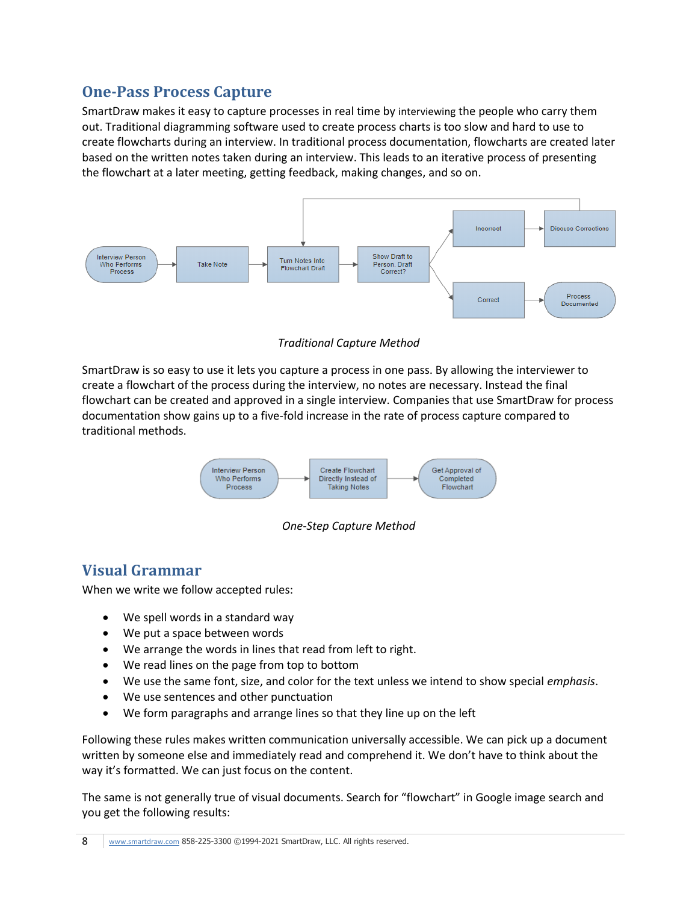# **One-Pass Process Capture**

SmartDraw makes it easy to capture processes in real time by interviewing the people who carry them out. Traditional diagramming software used to create process charts is too slow and hard to use to create flowcharts during an interview. In traditional process documentation, flowcharts are created later based on the written notes taken during an interview. This leads to an iterative process of presenting the flowchart at a later meeting, getting feedback, making changes, and so on.



*Traditional Capture Method*

SmartDraw is so easy to use it lets you capture a process in one pass. By allowing the interviewer to create a flowchart of the process during the interview, no notes are necessary. Instead the final flowchart can be created and approved in a single interview. Companies that use SmartDraw for process documentation show gains up to a five-fold increase in the rate of process capture compared to traditional methods.





## **Visual Grammar**

When we write we follow accepted rules:

- We spell words in a standard way
- We put a space between words
- We arrange the words in lines that read from left to right.
- We read lines on the page from top to bottom
- We use the same font, size, and color for the text unless we intend to show special *emphasis*.
- We use sentences and other punctuation
- We form paragraphs and arrange lines so that they line up on the left

Following these rules makes written communication universally accessible. We can pick up a document written by someone else and immediately read and comprehend it. We don't have to think about the way it's formatted. We can just focus on the content.

The same is not generally true of visual documents. Search for "flowchart" in Google image search and you get the following results: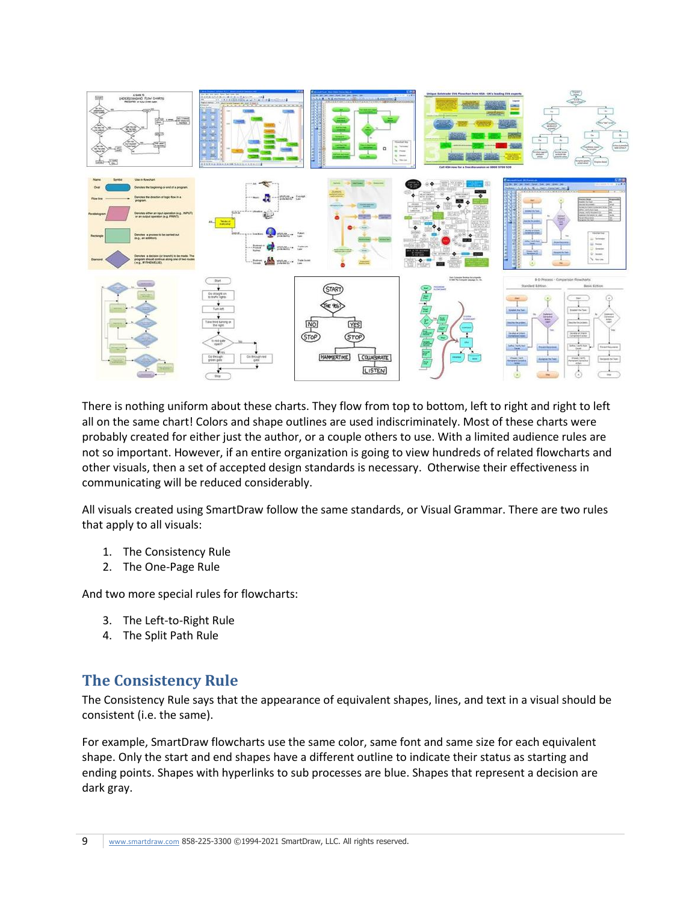

There is nothing uniform about these charts. They flow from top to bottom, left to right and right to left all on the same chart! Colors and shape outlines are used indiscriminately. Most of these charts were probably created for either just the author, or a couple others to use. With a limited audience rules are not so important. However, if an entire organization is going to view hundreds of related flowcharts and other visuals, then a set of accepted design standards is necessary. Otherwise their effectiveness in communicating will be reduced considerably.

All visuals created using SmartDraw follow the same standards, or Visual Grammar. There are two rules that apply to all visuals:

- 1. The Consistency Rule
- 2. The One-Page Rule

And two more special rules for flowcharts:

- 3. The Left-to-Right Rule
- 4. The Split Path Rule

# **The Consistency Rule**

The Consistency Rule says that the appearance of equivalent shapes, lines, and text in a visual should be consistent (i.e. the same).

For example, SmartDraw flowcharts use the same color, same font and same size for each equivalent shape. Only the start and end shapes have a different outline to indicate their status as starting and ending points. Shapes with hyperlinks to sub processes are blue. Shapes that represent a decision are dark gray.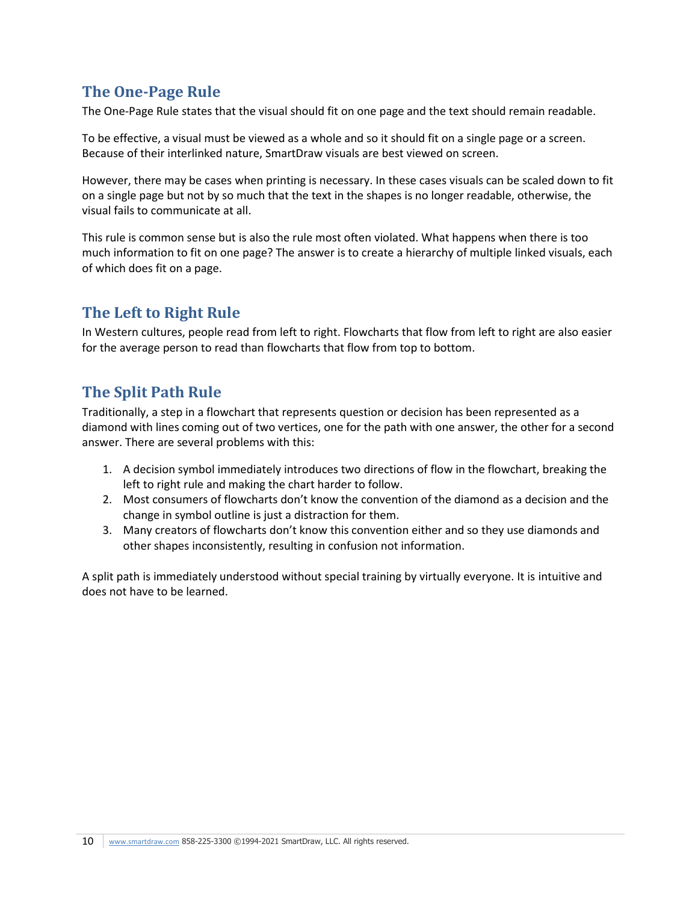# **The One-Page Rule**

The One-Page Rule states that the visual should fit on one page and the text should remain readable.

To be effective, a visual must be viewed as a whole and so it should fit on a single page or a screen. Because of their interlinked nature, SmartDraw visuals are best viewed on screen.

However, there may be cases when printing is necessary. In these cases visuals can be scaled down to fit on a single page but not by so much that the text in the shapes is no longer readable, otherwise, the visual fails to communicate at all.

This rule is common sense but is also the rule most often violated. What happens when there is too much information to fit on one page? The answer is to create a hierarchy of multiple linked visuals, each of which does fit on a page.

# **The Left to Right Rule**

In Western cultures, people read from left to right. Flowcharts that flow from left to right are also easier for the average person to read than flowcharts that flow from top to bottom.

# **The Split Path Rule**

Traditionally, a step in a flowchart that represents question or decision has been represented as a diamond with lines coming out of two vertices, one for the path with one answer, the other for a second answer. There are several problems with this:

- 1. A decision symbol immediately introduces two directions of flow in the flowchart, breaking the left to right rule and making the chart harder to follow.
- 2. Most consumers of flowcharts don't know the convention of the diamond as a decision and the change in symbol outline is just a distraction for them.
- 3. Many creators of flowcharts don't know this convention either and so they use diamonds and other shapes inconsistently, resulting in confusion not information.

A split path is immediately understood without special training by virtually everyone. It is intuitive and does not have to be learned.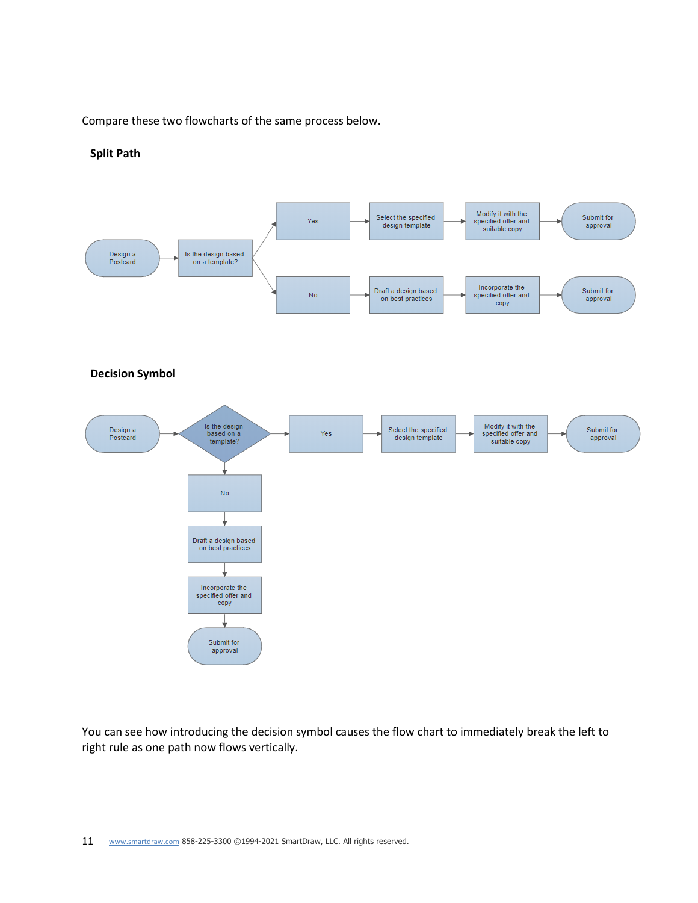Compare these two flowcharts of the same process below.

#### **Split Path**



You can see how introducing the decision symbol causes the flow chart to immediately break the left to right rule as one path now flows vertically.